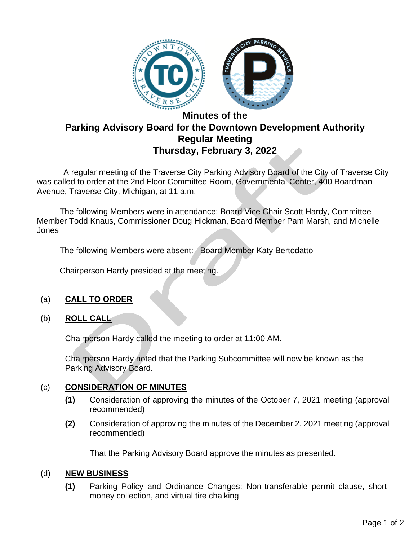

# **Minutes of the Parking Advisory Board for the Downtown Development Authority Regular Meeting Thursday, February 3, 2022**

 A regular meeting of the Traverse City Parking Advisory Board of the City of Traverse City was called to order at the 2nd Floor Committee Room, Governmental Center, 400 Boardman Avenue, Traverse City, Michigan, at 11 a.m.

The following Members were in attendance: Board Vice Chair Scott Hardy, Committee Member Todd Knaus, Commissioner Doug Hickman, Board Member Pam Marsh, and Michelle Jones

The following Members were absent: Board Member Katy Bertodatto

Chairperson Hardy presided at the meeting.

### (a) **CALL TO ORDER**

### (b) **ROLL CALL**

Chairperson Hardy called the meeting to order at 11:00 AM.

Chairperson Hardy noted that the Parking Subcommittee will now be known as the Parking Advisory Board.

### (c) **CONSIDERATION OF MINUTES**

- **(1)** Consideration of approving the minutes of the October 7, 2021 meeting (approval recommended)
- **(2)** Consideration of approving the minutes of the December 2, 2021 meeting (approval recommended)

That the Parking Advisory Board approve the minutes as presented.

## (d) **NEW BUSINESS**

**(1)** Parking Policy and Ordinance Changes: Non-transferable permit clause, shortmoney collection, and virtual tire chalking